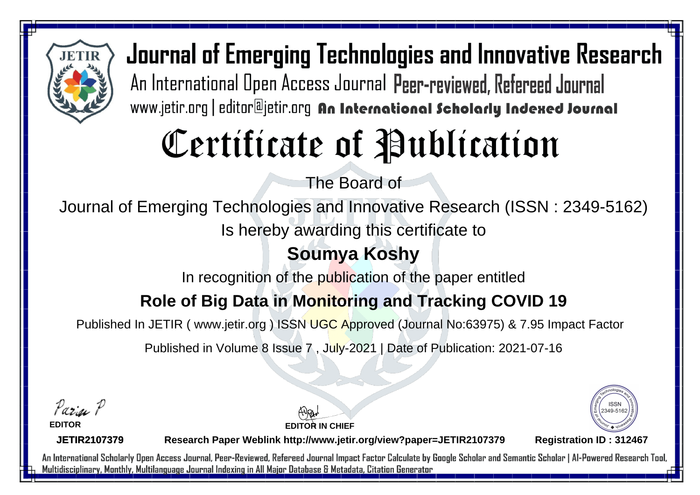

# Certificate of Publication

The Board of

Journal of Emerging Technologies and Innovative Research (ISSN : 2349-5162)

Is hereby awarding this certificate to

## **Soumya Koshy**

In recognition of the publication of the paper entitled

### **Role of Big Data in Monitoring and Tracking COVID 19**

Published In JETIR ( www.jetir.org ) ISSN UGC Approved (Journal No: 63975) & 7.95 Impact Factor

Published in Volume 8 Issue 7 , July-2021 | Date of Publication: 2021-07-16

Parin P

**EDITOR**

**EDITOR IN CHIEF**



**JETIR2107379**

**Research Paper Weblink http://www.jetir.org/view?paper=JETIR2107379 Registration ID : 312467**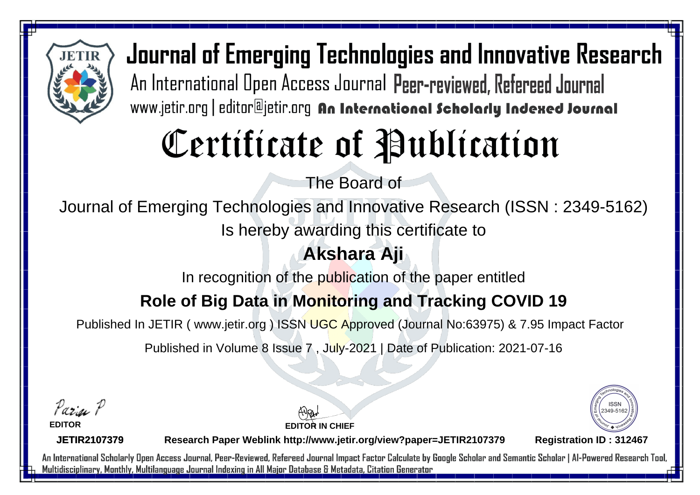

# Certificate of Publication

The Board of

Journal of Emerging Technologies and Innovative Research (ISSN : 2349-5162)

Is hereby awarding this certificate to

## **Akshara Aji**

In recognition of the publication of the paper entitled

### **Role of Big Data in Monitoring and Tracking COVID 19**

Published In JETIR ( www.jetir.org ) ISSN UGC Approved (Journal No: 63975) & 7.95 Impact Factor

Published in Volume 8 Issue 7 , July-2021 | Date of Publication: 2021-07-16

Parin P

**EDITOR**

**EDITOR IN CHIEF**



**JETIR2107379**

**Research Paper Weblink http://www.jetir.org/view?paper=JETIR2107379 Registration ID : 312467**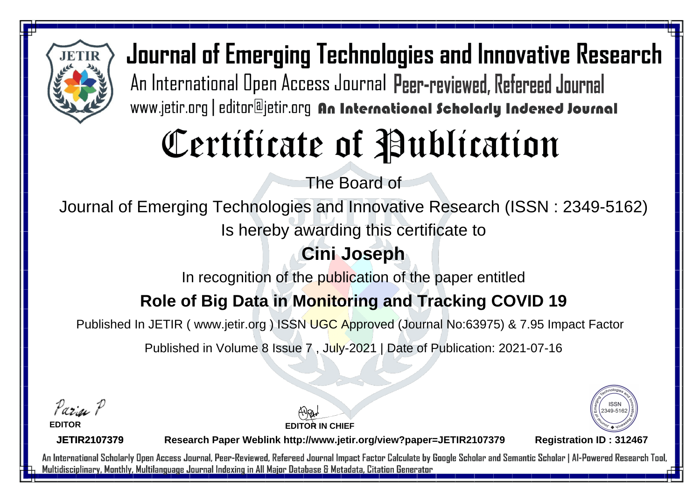

# Certificate of Publication

The Board of

Journal of Emerging Technologies and Innovative Research (ISSN : 2349-5162)

Is hereby awarding this certificate to

## **Cini Joseph**

In recognition of the publication of the paper entitled

### **Role of Big Data in Monitoring and Tracking COVID 19**

Published In JETIR ( www.jetir.org ) ISSN UGC Approved (Journal No: 63975) & 7.95 Impact Factor

Published in Volume 8 Issue 7 , July-2021 | Date of Publication: 2021-07-16

Parin P

**EDITOR**

**EDITOR IN CHIEF**



**JETIR2107379**

**Research Paper Weblink http://www.jetir.org/view?paper=JETIR2107379 Registration ID : 312467**